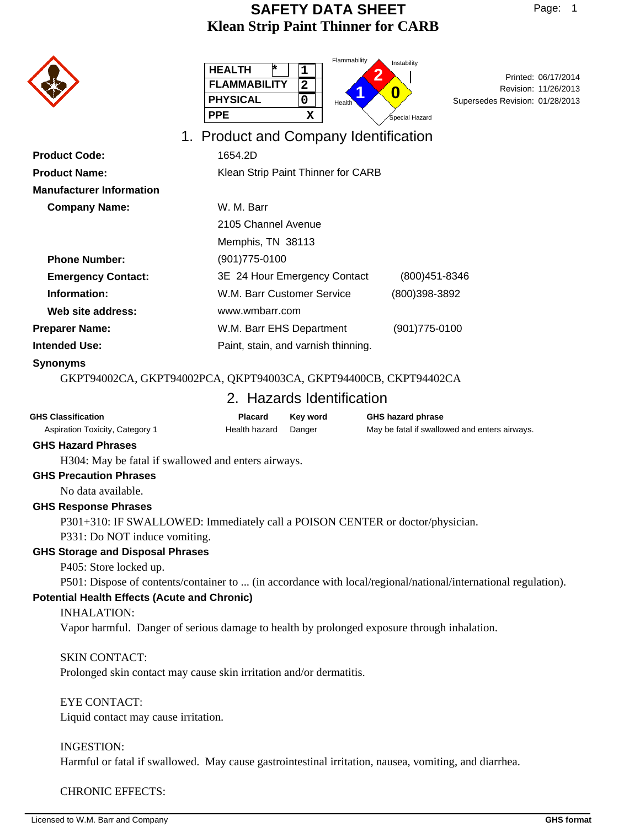# **Klean Strip Paint Thinner for CARB SAFETY DATA SHEET**

|                                 | Flammability<br><b>HEALTH</b><br>1<br><b>FLAMMABILITY</b><br>$\overline{\mathbf{2}}$<br><b>PHYSICAL</b><br>0<br><b>Health</b><br><b>PPE</b><br>х | Instability<br>Printed: 06/17/2014<br>Revision: 11/26/2013<br>0<br>Supersedes Revision: 01/28/2013<br>Special Hazard |
|---------------------------------|--------------------------------------------------------------------------------------------------------------------------------------------------|----------------------------------------------------------------------------------------------------------------------|
|                                 | 1. Product and Company Identification                                                                                                            |                                                                                                                      |
| <b>Product Code:</b>            | 1654.2D                                                                                                                                          |                                                                                                                      |
| <b>Product Name:</b>            | Klean Strip Paint Thinner for CARB                                                                                                               |                                                                                                                      |
| <b>Manufacturer Information</b> |                                                                                                                                                  |                                                                                                                      |
| <b>Company Name:</b>            | W. M. Barr                                                                                                                                       |                                                                                                                      |
|                                 | 2105 Channel Avenue                                                                                                                              |                                                                                                                      |
|                                 | Memphis, TN 38113                                                                                                                                |                                                                                                                      |
| <b>Phone Number:</b>            | $(901)775 - 0100$                                                                                                                                |                                                                                                                      |
| <b>Emergency Contact:</b>       | 3E 24 Hour Emergency Contact                                                                                                                     | (800) 451-8346                                                                                                       |
| Information:                    | W.M. Barr Customer Service                                                                                                                       | (800)398-3892                                                                                                        |
| Web site address:               | www.wmbarr.com                                                                                                                                   |                                                                                                                      |
| <b>Preparer Name:</b>           | W.M. Barr EHS Department                                                                                                                         | (901)775-0100                                                                                                        |
| <b>Intended Use:</b>            | Paint, stain, and varnish thinning.                                                                                                              |                                                                                                                      |

#### **Synonyms**

GKPT94002CA, GKPT94002PCA, QKPT94003CA, GKPT94400CB, CKPT94402CA

# 2. Hazards Identification

| <b>GHS Classification</b>       | Placard       | Kev word | <b>GHS hazard phrase</b>                      |
|---------------------------------|---------------|----------|-----------------------------------------------|
| Aspiration Toxicity, Category 1 | Health hazard | Danger   | May be fatal if swallowed and enters airways. |

## **GHS Hazard Phrases**

H304: May be fatal if swallowed and enters airways.

#### **GHS Precaution Phrases**

No data available.

#### **GHS Response Phrases**

P301+310: IF SWALLOWED: Immediately call a POISON CENTER or doctor/physician. P331: Do NOT induce vomiting.

#### **GHS Storage and Disposal Phrases**

P405: Store locked up.

P501: Dispose of contents/container to ... (in accordance with local/regional/national/international regulation).

### **Potential Health Effects (Acute and Chronic)**

#### INHALATION:

Vapor harmful. Danger of serious damage to health by prolonged exposure through inhalation.

#### SKIN CONTACT:

Prolonged skin contact may cause skin irritation and/or dermatitis.

### EYE CONTACT:

Liquid contact may cause irritation.

#### INGESTION:

Harmful or fatal if swallowed. May cause gastrointestinal irritation, nausea, vomiting, and diarrhea.

CHRONIC EFFECTS: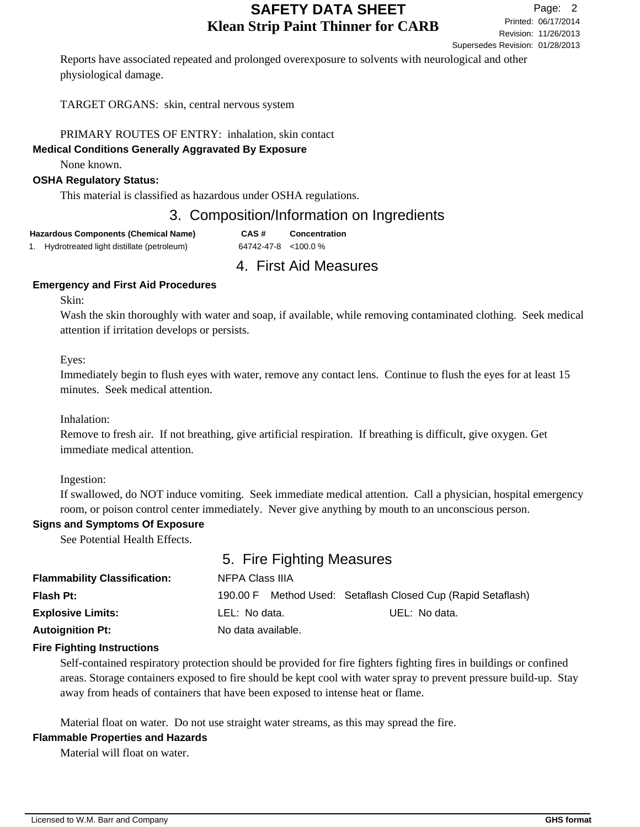Revision: 11/26/2013 Printed: 06/17/2014 Page: 2 Supersedes Revision: 01/28/2013

Reports have associated repeated and prolonged overexposure to solvents with neurological and other physiological damage.

TARGET ORGANS: skin, central nervous system

PRIMARY ROUTES OF ENTRY: inhalation, skin contact

## **Medical Conditions Generally Aggravated By Exposure**

None known.

## **OSHA Regulatory Status:**

This material is classified as hazardous under OSHA regulations.

# 3. Composition/Information on Ingredients

| <b>Hazardous Components (Chemical Name)</b>  | CAS#                        | <b>Concentration</b> |
|----------------------------------------------|-----------------------------|----------------------|
| 1. Hydrotreated light distillate (petroleum) | $64742 - 47 - 8 < 100.0 \%$ |                      |

# 4. First Aid Measures

## **Emergency and First Aid Procedures**

Skin:

Wash the skin thoroughly with water and soap, if available, while removing contaminated clothing. Seek medical attention if irritation develops or persists.

Eyes:

Immediately begin to flush eyes with water, remove any contact lens. Continue to flush the eyes for at least 15 minutes. Seek medical attention.

Inhalation:

Remove to fresh air. If not breathing, give artificial respiration. If breathing is difficult, give oxygen. Get immediate medical attention.

Ingestion:

If swallowed, do NOT induce vomiting. Seek immediate medical attention. Call a physician, hospital emergency room, or poison control center immediately. Never give anything by mouth to an unconscious person.

## **Signs and Symptoms Of Exposure**

See Potential Health Effects.

# 5. Fire Fighting Measures

| <b>Flammability Classification:</b> | NFPA Class IIIA    |  |                                                     |
|-------------------------------------|--------------------|--|-----------------------------------------------------|
| <b>Flash Pt:</b>                    | 190.00 F           |  | Method Used: Setaflash Closed Cup (Rapid Setaflash) |
| <b>Explosive Limits:</b>            | LEL: No data.      |  | UEL: No data.                                       |
| <b>Autoignition Pt:</b>             | No data available. |  |                                                     |

## **Fire Fighting Instructions**

Self-contained respiratory protection should be provided for fire fighters fighting fires in buildings or confined areas. Storage containers exposed to fire should be kept cool with water spray to prevent pressure build-up. Stay away from heads of containers that have been exposed to intense heat or flame.

Material float on water. Do not use straight water streams, as this may spread the fire.

#### **Flammable Properties and Hazards**

Material will float on water.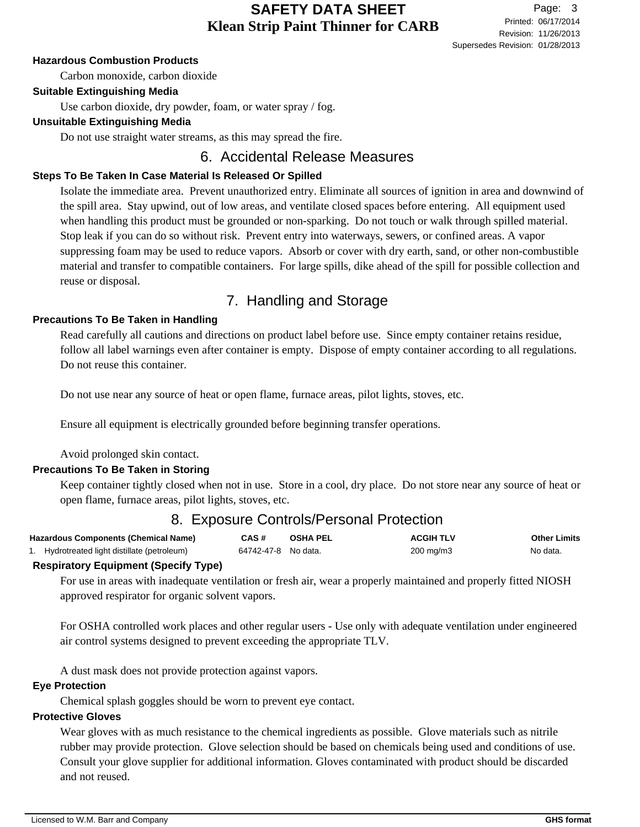### **Hazardous Combustion Products**

Carbon monoxide, carbon dioxide

### **Suitable Extinguishing Media**

Use carbon dioxide, dry powder, foam, or water spray / fog.

### **Unsuitable Extinguishing Media**

Do not use straight water streams, as this may spread the fire.

# 6. Accidental Release Measures

### **Steps To Be Taken In Case Material Is Released Or Spilled**

Isolate the immediate area. Prevent unauthorized entry. Eliminate all sources of ignition in area and downwind of the spill area. Stay upwind, out of low areas, and ventilate closed spaces before entering. All equipment used when handling this product must be grounded or non-sparking. Do not touch or walk through spilled material. Stop leak if you can do so without risk. Prevent entry into waterways, sewers, or confined areas. A vapor suppressing foam may be used to reduce vapors. Absorb or cover with dry earth, sand, or other non-combustible material and transfer to compatible containers. For large spills, dike ahead of the spill for possible collection and reuse or disposal.

# 7. Handling and Storage

### **Precautions To Be Taken in Handling**

Read carefully all cautions and directions on product label before use. Since empty container retains residue, follow all label warnings even after container is empty. Dispose of empty container according to all regulations. Do not reuse this container.

Do not use near any source of heat or open flame, furnace areas, pilot lights, stoves, etc.

Ensure all equipment is electrically grounded before beginning transfer operations.

Avoid prolonged skin contact.

## **Precautions To Be Taken in Storing**

Keep container tightly closed when not in use. Store in a cool, dry place. Do not store near any source of heat or open flame, furnace areas, pilot lights, stoves, etc.

# 8. Exposure Controls/Personal Protection

| <b>Hazardous Components (Chemical Name)</b>  | CAS#                | <b>OSHA PEL</b> | <b>ACGIH TLV</b>     | <b>Other Limits</b> |
|----------------------------------------------|---------------------|-----------------|----------------------|---------------------|
| 1. Hydrotreated light distillate (petroleum) | 64742-47-8 No data. |                 | $200 \text{ mg/m}$ 3 | No data.            |

#### **Respiratory Equipment (Specify Type)**

For use in areas with inadequate ventilation or fresh air, wear a properly maintained and properly fitted NIOSH approved respirator for organic solvent vapors.

For OSHA controlled work places and other regular users - Use only with adequate ventilation under engineered air control systems designed to prevent exceeding the appropriate TLV.

A dust mask does not provide protection against vapors.

#### **Eye Protection**

Chemical splash goggles should be worn to prevent eye contact.

# **Protective Gloves**

Wear gloves with as much resistance to the chemical ingredients as possible. Glove materials such as nitrile rubber may provide protection. Glove selection should be based on chemicals being used and conditions of use. Consult your glove supplier for additional information. Gloves contaminated with product should be discarded and not reused.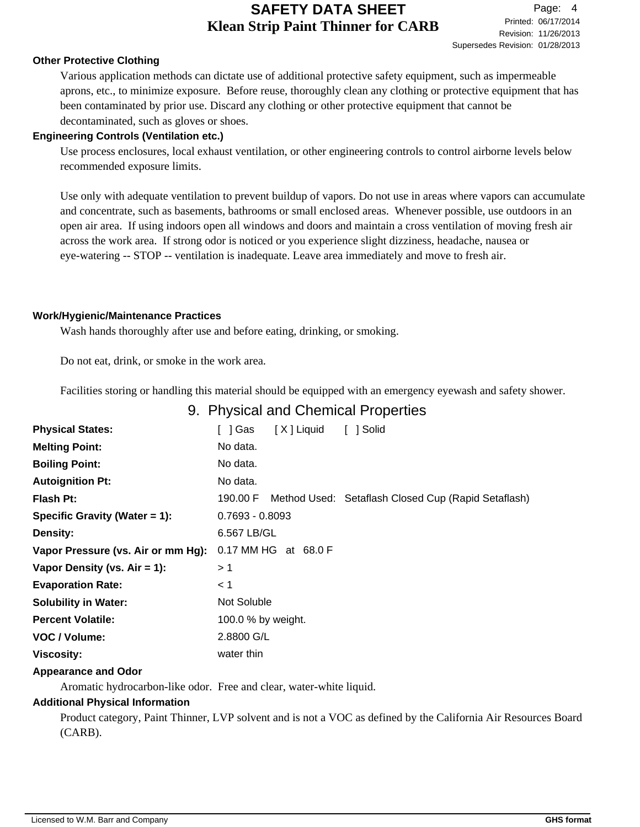## **Other Protective Clothing**

Various application methods can dictate use of additional protective safety equipment, such as impermeable aprons, etc., to minimize exposure. Before reuse, thoroughly clean any clothing or protective equipment that has been contaminated by prior use. Discard any clothing or other protective equipment that cannot be decontaminated, such as gloves or shoes.

### **Engineering Controls (Ventilation etc.)**

Use process enclosures, local exhaust ventilation, or other engineering controls to control airborne levels below recommended exposure limits.

Use only with adequate ventilation to prevent buildup of vapors. Do not use in areas where vapors can accumulate and concentrate, such as basements, bathrooms or small enclosed areas. Whenever possible, use outdoors in an open air area. If using indoors open all windows and doors and maintain a cross ventilation of moving fresh air across the work area. If strong odor is noticed or you experience slight dizziness, headache, nausea or eye-watering -- STOP -- ventilation is inadequate. Leave area immediately and move to fresh air.

### **Work/Hygienic/Maintenance Practices**

Wash hands thoroughly after use and before eating, drinking, or smoking.

Do not eat, drink, or smoke in the work area.

Facilities storing or handling this material should be equipped with an emergency eyewash and safety shower.

# 9. Physical and Chemical Properties

| <b>Physical States:</b>            | [ ] Gas            | [X] Liquid           | [ ] Solid                                                    |
|------------------------------------|--------------------|----------------------|--------------------------------------------------------------|
| <b>Melting Point:</b>              | No data.           |                      |                                                              |
| <b>Boiling Point:</b>              | No data.           |                      |                                                              |
| <b>Autoignition Pt:</b>            | No data.           |                      |                                                              |
| <b>Flash Pt:</b>                   |                    |                      | 190.00 F Method Used: Setaflash Closed Cup (Rapid Setaflash) |
| Specific Gravity (Water $= 1$ ):   | $0.7693 - 0.8093$  |                      |                                                              |
| Density:                           | 6.567 LB/GL        |                      |                                                              |
| Vapor Pressure (vs. Air or mm Hg): |                    | 0.17 MM HG at 68.0 F |                                                              |
| Vapor Density (vs. $Air = 1$ ):    | >1                 |                      |                                                              |
| <b>Evaporation Rate:</b>           | < 1                |                      |                                                              |
| <b>Solubility in Water:</b>        | Not Soluble        |                      |                                                              |
| <b>Percent Volatile:</b>           | 100.0 % by weight. |                      |                                                              |
| VOC / Volume:                      | 2.8800 G/L         |                      |                                                              |
| <b>Viscosity:</b>                  | water thin         |                      |                                                              |
|                                    |                    |                      |                                                              |

## **Appearance and Odor**

Aromatic hydrocarbon-like odor. Free and clear, water-white liquid.

## **Additional Physical Information**

Product category, Paint Thinner, LVP solvent and is not a VOC as defined by the California Air Resources Board (CARB).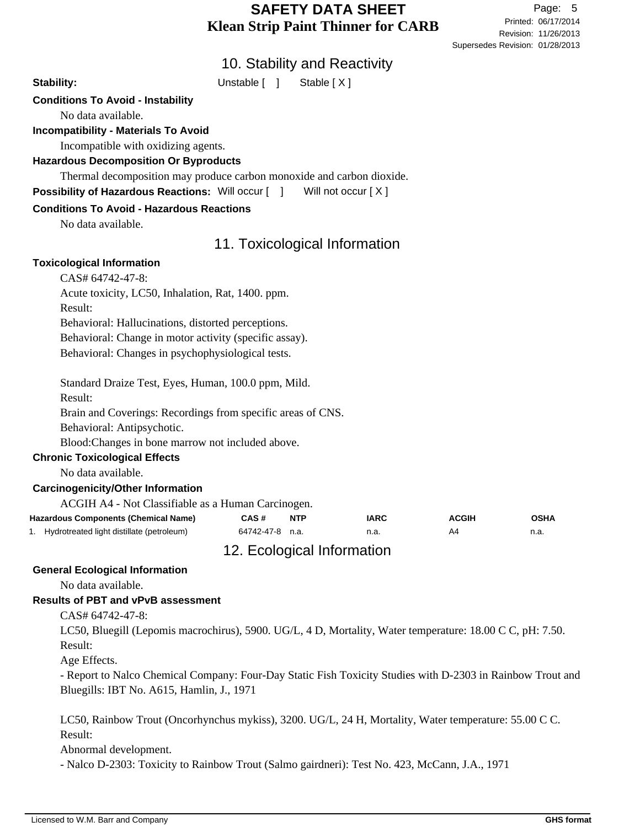Revision: 11/26/2013 Printed: 06/17/2014 Page: 5 Supersedes Revision: 01/28/2013

# 10. Stability and Reactivity

Stability: Unstable [ ] Stable [ X ]

# **Conditions To Avoid - Instability**

No data available.

## **Incompatibility - Materials To Avoid**

Incompatible with oxidizing agents.

**Hazardous Decomposition Or Byproducts**

Thermal decomposition may produce carbon monoxide and carbon dioxide.

**Possibility of Hazardous Reactions:** Will occur [ ] Will not occur [ X ]

## **Conditions To Avoid - Hazardous Reactions**

No data available.

# 11. Toxicological Information

### **Toxicological Information**

Acute toxicity, LC50, Inhalation, Rat, 1400. ppm.

Result:

Behavioral: Hallucinations, distorted perceptions.

Behavioral: Change in motor activity (specific assay).

Behavioral: Changes in psychophysiological tests.

Standard Draize Test, Eyes, Human, 100.0 ppm, Mild. Result: Brain and Coverings: Recordings from specific areas of CNS.

Behavioral: Antipsychotic.

Blood:Changes in bone marrow not included above.

## **Chronic Toxicological Effects**

No data available.

## **Carcinogenicity/Other Information**

ACGIH A4 - Not Classifiable as a Human Carcinogen.

| <b>Hazardous Components (Chemical Name)</b>  | CAS #           | <b>NTP</b> | <b>IARC</b> | <b>ACGIH</b> | <b>OSHA</b> |
|----------------------------------------------|-----------------|------------|-------------|--------------|-------------|
| 1. Hydrotreated light distillate (petroleum) | 64742-47-8 n.a. |            | n.a.        | A4           | n.a.        |
|                                              |                 |            |             |              |             |

# 12. Ecological Information

## **General Ecological Information**

No data available.

## **Results of PBT and vPvB assessment**

CAS# 64742-47-8:

LC50, Bluegill (Lepomis macrochirus), 5900. UG/L, 4 D, Mortality, Water temperature: 18.00 C C, pH: 7.50. Result:

Age Effects.

- Report to Nalco Chemical Company: Four-Day Static Fish Toxicity Studies with D-2303 in Rainbow Trout and Bluegills: IBT No. A615, Hamlin, J., 1971

LC50, Rainbow Trout (Oncorhynchus mykiss), 3200. UG/L, 24 H, Mortality, Water temperature: 55.00 C C. Result:

Abnormal development.

- Nalco D-2303: Toxicity to Rainbow Trout (Salmo gairdneri): Test No. 423, McCann, J.A., 1971